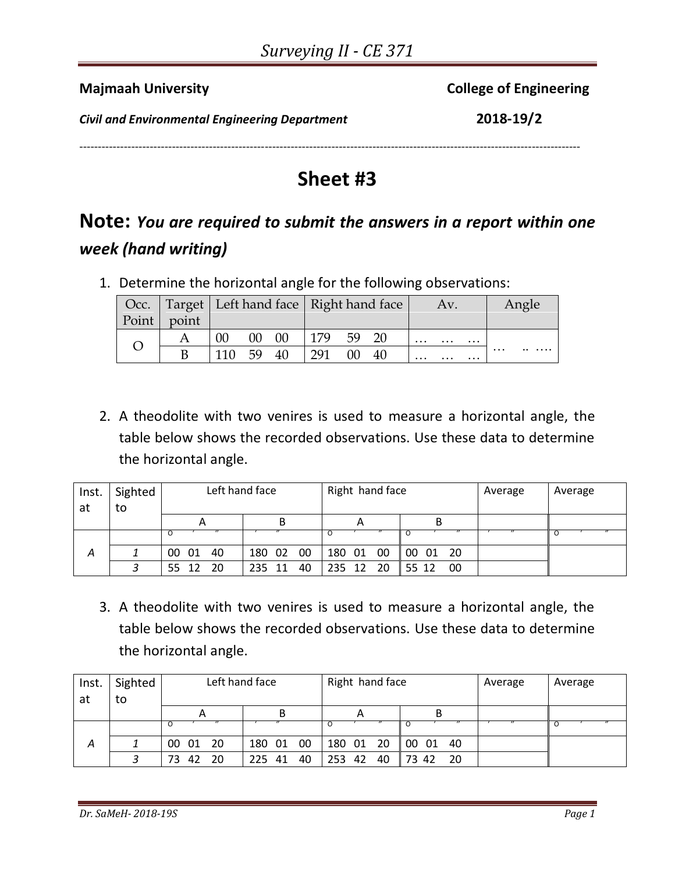| <b>Majmaah University</b>                             | <b>College of Engineering</b> |
|-------------------------------------------------------|-------------------------------|
| <b>Civil and Environmental Engineering Department</b> | 2018-19/2                     |
|                                                       |                               |

## **Sheet #3**

## **Note:** *You are required to submit the answers in a report within one week (hand writing)*

1. Determine the horizontal angle for the following observations:

|         |       |        |       | Occ.   Target   Left hand face   Right hand face |     |        | Av.  |          | Angle    |          |          |          |
|---------|-------|--------|-------|--------------------------------------------------|-----|--------|------|----------|----------|----------|----------|----------|
| Point V | point |        |       |                                                  |     |        |      |          |          |          |          |          |
|         |       | $00\,$ | 00 00 |                                                  | 179 | - 59   | - 20 | $\cdots$ | $\cdots$ | $\cdots$ |          |          |
|         |       | 110 59 |       | -40                                              | 291 | $00\,$ | -40  | $\cdots$ | $\cdots$ | $\cdots$ | $\cdots$ | $\cdots$ |

2. A theodolite with two venires is used to measure a horizontal angle, the table below shows the recorded observations. Use these data to determine the horizontal angle.

| Inst.<br>at | Sighted<br>to |             | Left hand face | Right hand face |                         | Average | Average |
|-------------|---------------|-------------|----------------|-----------------|-------------------------|---------|---------|
|             |               |             |                |                 | в                       |         |         |
|             |               |             |                |                 |                         |         |         |
| Α           |               | 00 01 40    | - 00<br>180 02 | - 00<br>180 01  | 00 01 20                |         |         |
|             |               | 55 12<br>20 | 40<br>235 11   | 235 12 20       | $\parallel$ 55 12<br>00 |         |         |

3. A theodolite with two venires is used to measure a horizontal angle, the table below shows the recorded observations. Use these data to determine the horizontal angle.

| Inst. | Sighted |                 | Left hand face | Right hand face |                                                                        | Average | Average |
|-------|---------|-----------------|----------------|-----------------|------------------------------------------------------------------------|---------|---------|
| at    | to      |                 |                |                 |                                                                        |         |         |
|       |         | 宀               | В              | Α               |                                                                        |         |         |
|       |         |                 |                |                 |                                                                        |         |         |
| А     |         | 00 01 20        | -00<br>180 01  | 180 01 20       | $\begin{array}{ c c c c c } \hline 00 & 01 \ \hline \end{array}$<br>40 |         |         |
|       |         | 42<br>20<br>73. | 40<br>225 41   | 40<br>253 42    | 20<br>17342                                                            |         |         |